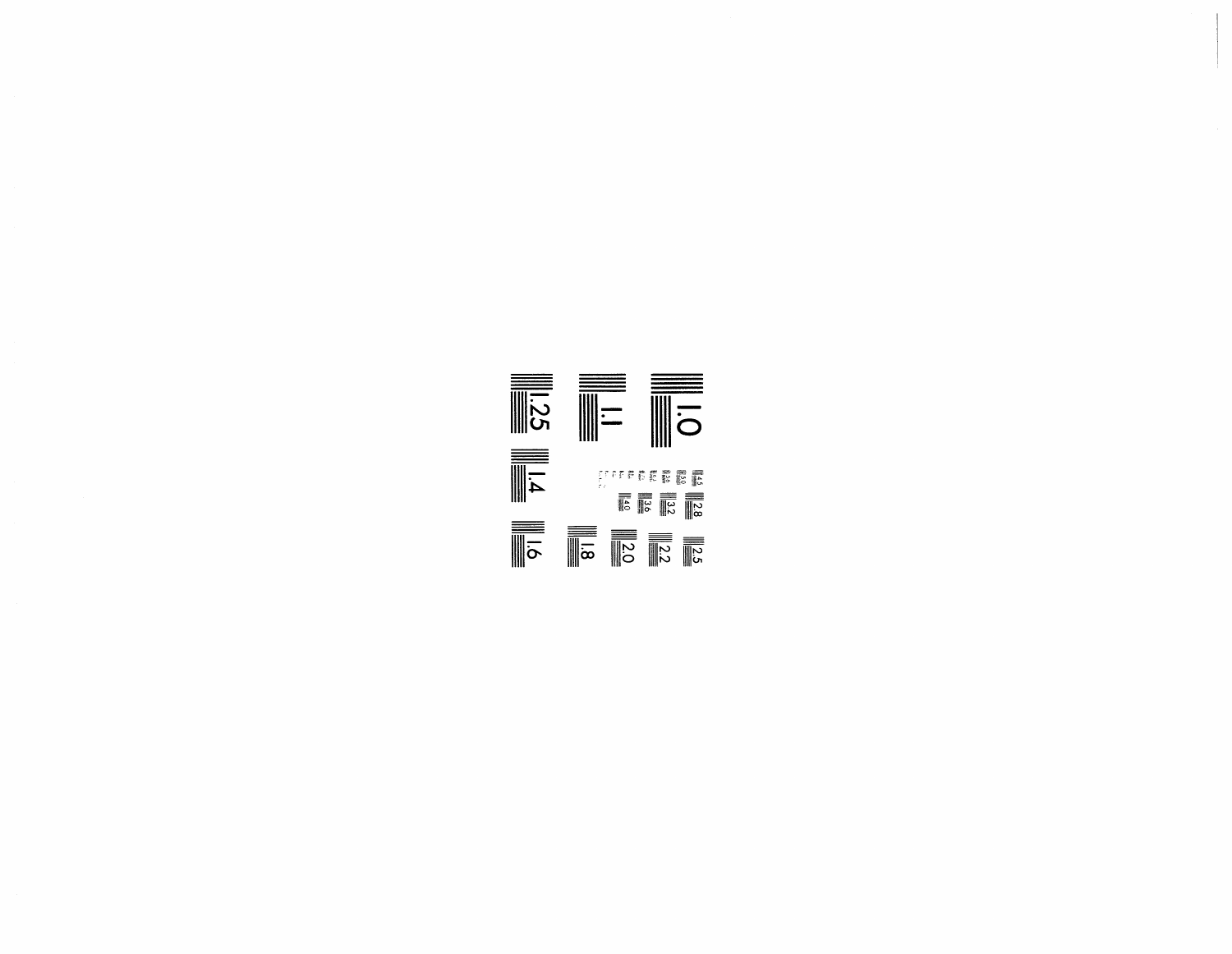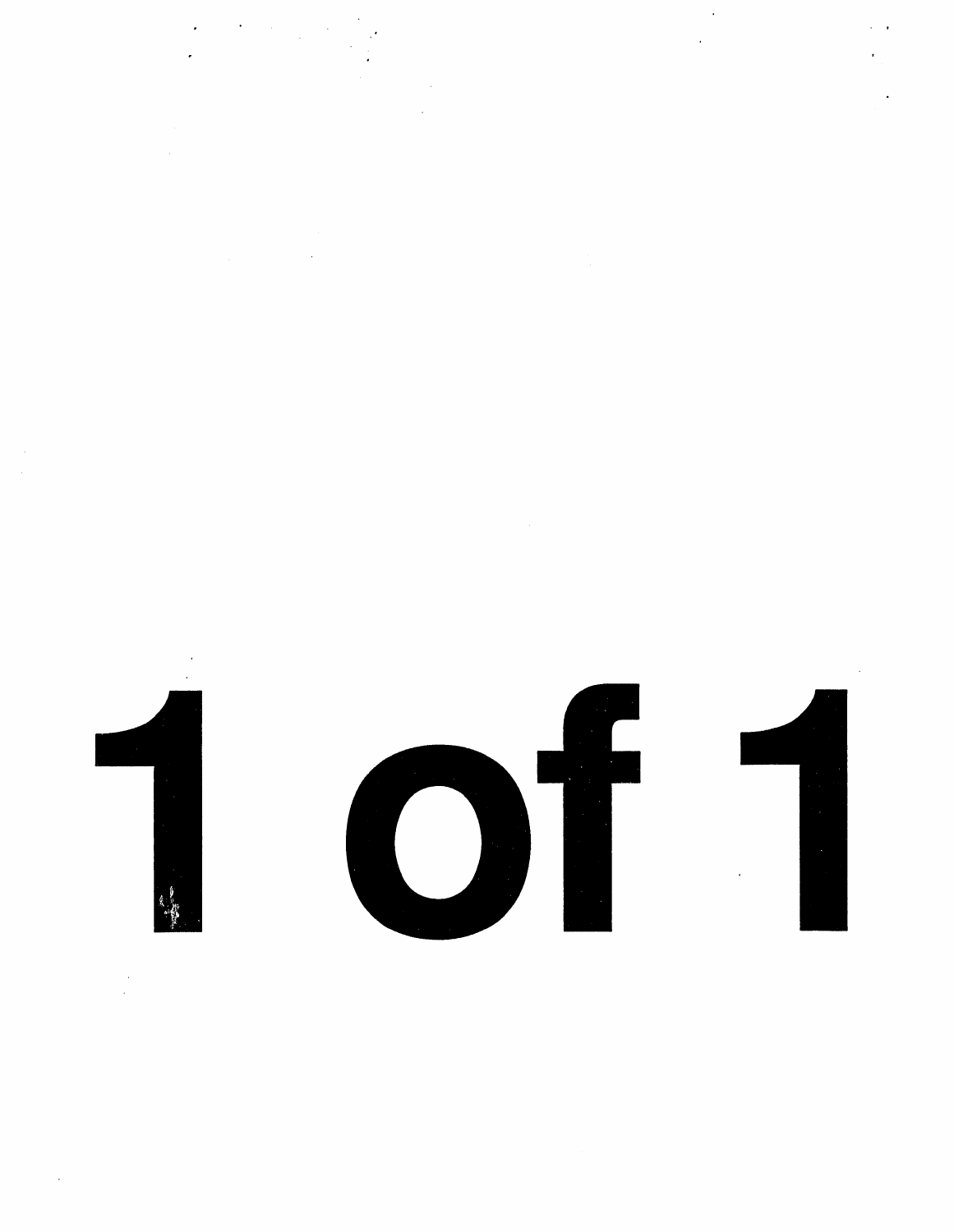$\mathcal{A}^{\text{max}}_{\text{max}}$ 

 $\label{eq:2.1} \frac{1}{\sqrt{2\pi}}\sum_{i=1}^n\frac{1}{\sqrt{2\pi}}\sum_{i=1}^n\frac{1}{\sqrt{2\pi}}\sum_{i=1}^n\frac{1}{\sqrt{2\pi}}\sum_{i=1}^n\frac{1}{\sqrt{2\pi}}\sum_{i=1}^n\frac{1}{\sqrt{2\pi}}\sum_{i=1}^n\frac{1}{\sqrt{2\pi}}\sum_{i=1}^n\frac{1}{\sqrt{2\pi}}\sum_{i=1}^n\frac{1}{\sqrt{2\pi}}\sum_{i=1}^n\frac{1}{\sqrt{2\pi}}\sum_{i=1}^n\$ 

 $\frac{1}{2}$ 

 $\frac{1}{2}$  ,  $\frac{1}{2}$ 

 $\label{eq:2.1} \begin{array}{l} \mathcal{L}_{\mathcal{A}}(\mathcal{A})=\mathcal{L}_{\mathcal{A}}(\mathcal{A})\\ \mathcal{L}_{\mathcal{A}}(\mathcal{A})=\mathcal{L}_{\mathcal{A}}(\mathcal{A})\\ \mathcal{L}_{\mathcal{A}}(\mathcal{A})=\mathcal{L}_{\mathcal{A}}(\mathcal{A})\end{array}$ 

 $\langle \cdot | \cdot \rangle$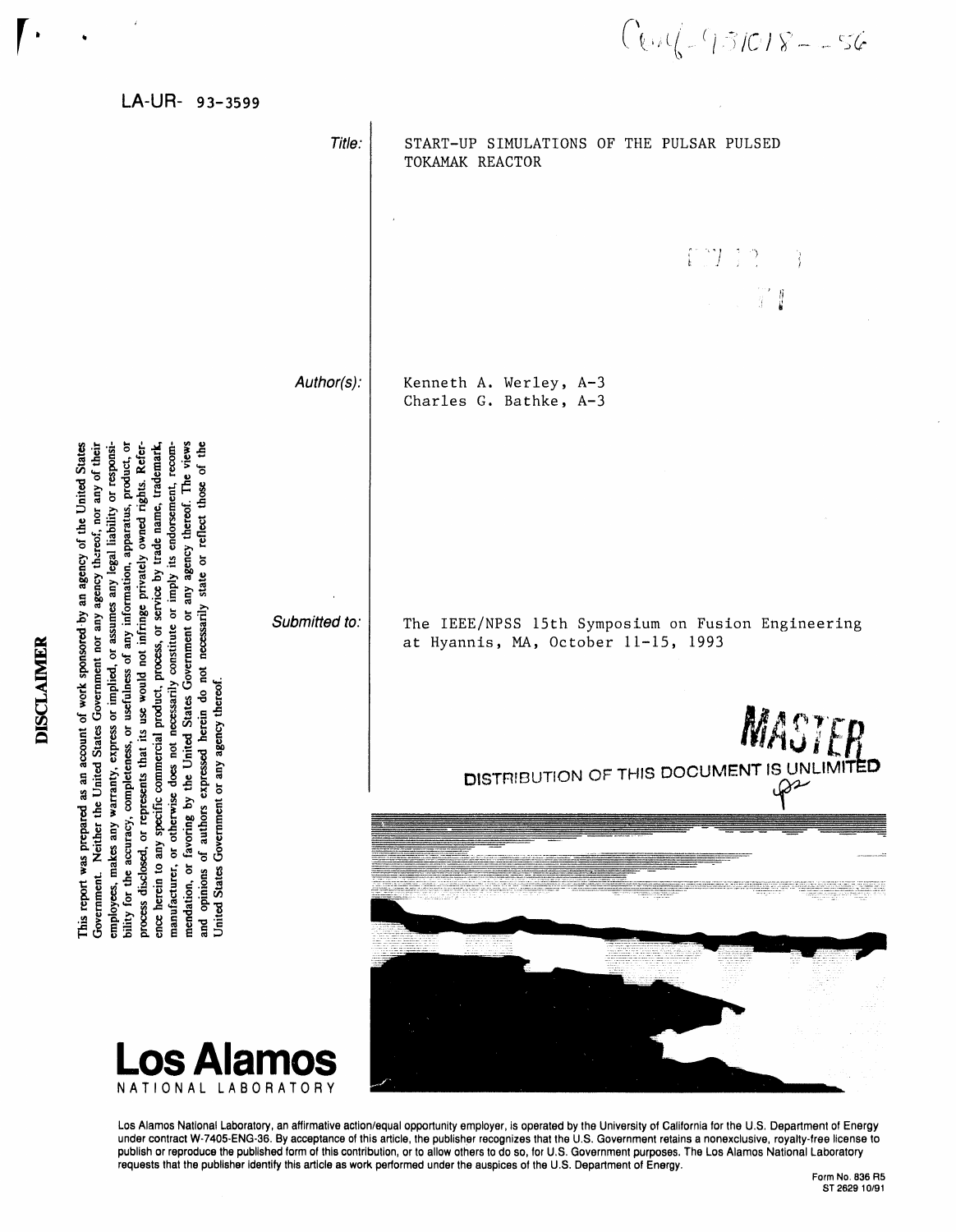LA-UR- 93-3599

 $C_{UU}(-931018--56$ 

Title: START-UP SIMULATIONS OF THE PULSAR PULSED TOKAMAK REACTOR Author(s):  $\vert$  Kenneth A. Werley, A-3 Charles G. Bathke, A-3 Submitted to: The IEEE/NPSS 15th Symposium on Fusion Engineering at Hyannis, MA, October 11-15, 1993 MASTER



mendation, or favoring by the United States Government or any agency thereof. The views

authors expressed herein do not

opinions of

 $\overline{a}$ 

Jnited States Government or any agency thereof

ence herein to any specific commercial product, process, or service by trade name, trademark

process disclosed, or represents that its use would not infringe privately owned rights. manufacturer, or otherwise does not necessarily constitute or imply its endorsement, necessarily state or reflect those of the

Los Alamos National Laboratory, an affirmative action/equal opportunity employer, is operated by the University of California for the U.S. Department of Energy under contra**c**t W-7405-ENG-36. By a**c**ceptanceof this article, the publisher recognizes that the U.S. Government retain**s** a nonexcluslve, royalty-free license to publi**s**h or reprodu**c**e the publi**s**hedform of thi**s c**ontribution,or to allow others to do so, f**o**r U.S. Government purpo**s**es. The Los Alamos National Laboratory request**s** that the publi**s**her Identify th**is**arti**c**le a**s** work performed underthe au**s**pices of the U.S. Department of Energy.

This report was prepared as an account of work sponsored by an agency of the United States

Government. Neither the United States Government nor any agency thereof, nor any of their employees, makes any warranty, express or implied, or assumes any legal liability or responsiapparatus, product, or

any information,

ಕ

bility for the accuracy, completeness, or usefulness

Refer-

recom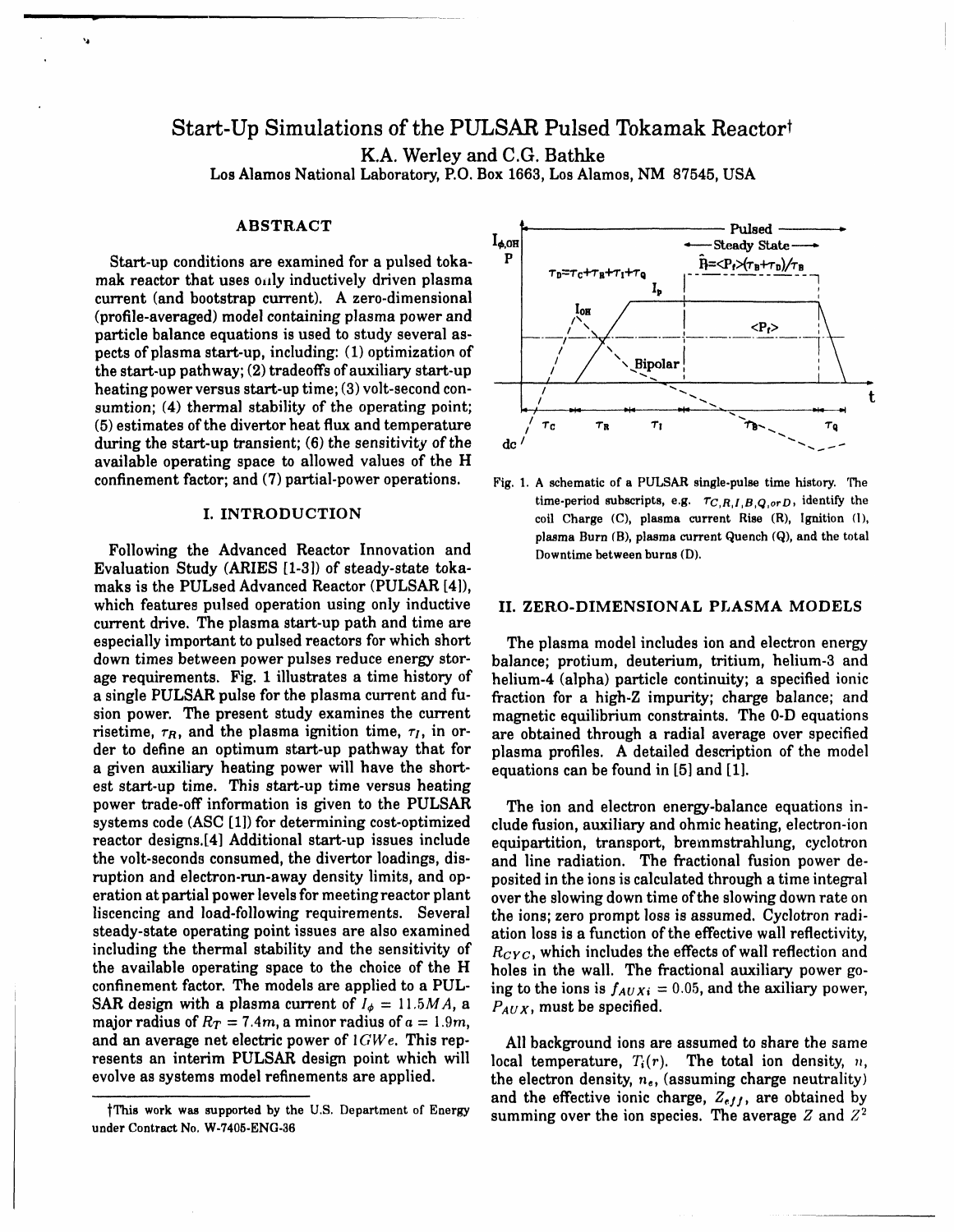# Start-Up Simulations of the PULSAR Pulsed Tokamak Reactort K.A. Werley and C.G. Bathke Los Alamos National Laboratory, P.O. Box 1663, Los Alamos, NM 87545, USA

### **ABSTRACT**

Start-up conditions are examined for a pulsed tokamak reactor that uses only inductively driven plasma current (and bootstrap current). A zero-dimensional (profile-averaged) model containing plasma power and particle balance equations is used to study several aspects of plasma start-up, including: (1) optimization of the start-up pathway; (2) tradeoffs of auxiliary start-up heating power versus start-up time; (3) volt-second consumtion; (4) thermal stability of the operating point; (5) estimates of the divertor heat flux and temperature during the start-up transient; (6) the sensitivity of the available operating space to allowed values of the H confinement factor; and (7) partial-power operations.

### I. INTRODUCTION

Following the Advanced Reactor Innovation and Evaluation Study (ARIES [1-3]) of steady-state tokamaks is the PULsed Advanced Reactor (PULSAR [4]), which features pulsed operation using only inductive current drive. The plasma start-up path and time are especially important to pulsed reactors for which short down times between power pulses reduce energy storage requirements. Fig. 1 illustrates a time history of a single PULSAR pulse for the plasma current and fusion power. The present study examines the current risetime,  $\tau_R$ , and the plasma ignition time,  $\tau_I$ , in order to define an optimum start-up pathway that for a given auxiliary heating power will have the shortest start-up time. This start-up time versus heating power trade-off information is given to the PULSAR systems code (ASC [1]) for determining cost-optimized reactor designs.[4] Additional start-up issues include the volt-seconds consumed, the divertor loadings, disruption and electron-run-away density limits, and operation at partial power levels for meeting reactor plant liscencing and load-following requirements. Several steady-state operating point issues are also examined including the thermal stability and the sensitivity of the available operating space to the choice of the H confinement factor. The models are applied to a PUL-SAR design with a plasma current of  $I_{\phi} = 11.5MA$ , a major radius of  $R_T = 7.4m$ , a minor radius of  $a = 1.9m$ , and an average net electric power of  $1GWe$ . This represents an interim PULSAR design point which will evolve as systems model refinements are applied.



Fig. 1. A schematic of a PULSAR single-pulse time history. The time-period subscripts, e.g.  $TC, R, I, B, Q, or D$ , identify the coil Charge (C), plasma current Rise (R), Ignition (I), plasma Burn (B), plasma current Quench (Q), and the total Downtime between burns (D).

#### II. ZERO-DIMENSIONAL PLASMA MODELS

The plasma model includes ion and electron energy balance; protium, deuterium, tritium, helium-3 and helium-4 (alpha) particle continuity; a specified ionic fraction for a high-Z impurity; charge balance; and magnetic equilibrium constraints. The 0-D equations are obtained through a radial average over specified plasma profiles. A detailed description of the model equations can be found in [5] and [1].

The ion and electron energy-balance equations include fusion, auxiliary and ohmic heating, electron-ion equipartition, transport, bremmstrahlung, cyclotron and line radiation. The fractional fusion power deposited in the ions is calculated through a time integral over the slowing down time of the slowing down rate on the ions; zero prompt loss is assumed. Cyclotron radiation loss is a function of the effective wall reflectivity,  $R_{CYC}$ , which includes the effects of wall reflection and holes in the wall. The fractional auxiliary power going to the ions is  $f_{AUXi} = 0.05$ , and the axiliary power,  $P_{AUX}$ , must be specified.

All background ions are assumed to share the same local temperature,  $T_i(r)$ . The total ion density, n, the electron density,  $n_e$ , (assuming charge neutrality) and the effective ionic charge,  $Z_{eff}$ , are obtained by summing over the ion species. The average  $Z$  and  $Z^2$ 

<sup>†</sup>This work was supported by the U.S. Department of Energy under Contract No. W-7405-ENG-36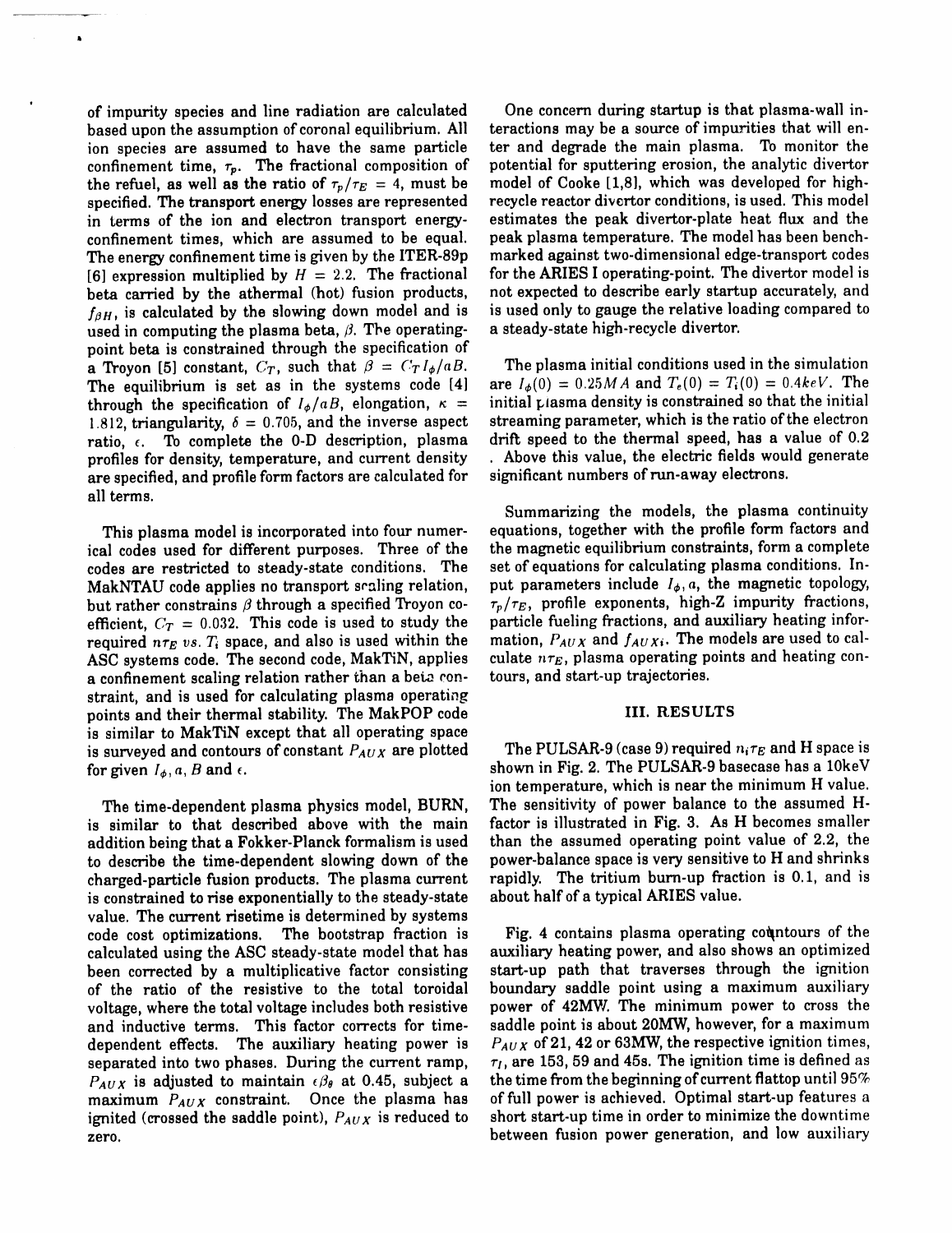based upon the assumption of coronal equilibrium. All teractions may be a source of impur**i**ties that will enion species are assumed to have the same particle ter and degrade the main plasma. To monitor the<br>confinement time,  $\tau_{n}$ . The fractional composition of potential for sputtering erosion, the analytic divertor confinement time,  $\tau_p$ . The fractional composition of potential for sputtering erosion, the analytic divertor<br>the refuel, as well as the ratio of  $\tau_p/\tau_E = 4$ , must be model of Cooke [1,8], which was developed for highthe refuel, as well as the ratio of  $\tau_p/\tau_E = 4$ , must be model of Cooke [1,8], which was developed for high-<br>specified. The transport energy losses are represented recycle reactor divertor conditions, is used. This model specified. The transport energy losses are represented recycle reactor divertor conditions, is used. This model<br>in terms of the ion and electron transport energy- estimates the peak divertor-plate heat flux and the in term**s** of th**e** ion and **e**l**e**ctron transport energy- estimat**e**s th**e** peak divertor-plate heat flux and the confin**e**ment times, which are assum**e**d to b**e** equal, peak plasma temperatur**e**. The model has bee**n** bench-Th**e** energy confin**e**ment tim**e** is given by the ITER-89p marked against two-dimensional edge-transport codes [6] expression multiplied by  $H = 2.2$ . The fractional for the ARIES I operating-point. The divertor model is beta carried by the athermal (bot) fusion products, not expected to describe early startup accurately, and beta carried by th**e** ath**e**rmal (hot) fusion products, not **e**xp**e**ct**e**d to d**e**scribe early startup accurat**e**ly, and  $f_{\beta H}$ , is calculated by the slowing down model and is is used only to gauge the relative lo<br>used in computing the plasma beta,  $\beta$ . The operating- a steady-state high-recycle divertor. used in computing the plasma beta,  $\beta$ . The operatingpoint beta is constrained through th**e** specificati**o**n of a Troyon [5] constant,  $C_T$ , such that  $\beta = C_T I_{\phi}/aB$ . The plasma initial conditions used in the simulation<br>The equilibrium is set as in the systems code [4] are  $I_{\phi}(0) = 0.25MA$  and  $T_{e}(0) = T_{i}(0) = 0.4keV$ . The The equilibrium is set as in the systems code [4] are  $I_{\phi}(0) = 0.25MA$  and  $T_e(0) = T_i(0) = 0.4keV$ . The through the specification of  $I_{\phi}/aB$ , elongation,  $\kappa =$  initial plasma density is constrained so that the initial through the specification of  $l_{\phi}/aB$ , elongation,  $\kappa =$  initial plasma density is constrained so that the initial 1812 triangularity  $\delta = 0.705$ , and the inverse aspect streaming parameter, which is the ratio of the el 1.812, triangularity,  $\delta = 0.705$ , and the inverse aspect streaming parameter, which is the ratio of the electron<br>ratio  $\epsilon$ . The complete the 0-D description, plasma drift speed to the thermal speed, has a value of 0.2 ratio,  $\epsilon$ . To complete the 0-D description, plasma drift speed to the thermal speed, has a value of 0.2<br>profiles for density, temperature, and current density. Above this value, the electric fields would generate profiles for density, temperature, and current density . Above this value, the electric fields would are specified, and profile form factors are calculated for significant numbers of run-away electrons. are specified, and profile form factors are calculated for all terms.

t

ical codes used for different purposes. Three of the the magnetic equilibrium constraints, form a complete codes are restricted to steady-state conditions. The set of equations for calculating plasma conditions. Incodes are restricted to steady-state conditions. The set of equations for calculating plasma conditions. In-<br>MakNTAU code applies no transport scaling relation, put parameters include  $I_{\phi}$ , a, the magnetic topology, MakNTAU code applies no transport scaling relation, put parameters include  $I_{\phi}$ , *a*, the magnetic topology, but rather constrains  $\beta$  through a specified Troyon co-  $\tau_p/\tau_E$ , profile exponents, high-Z impurity fracti but rather constrains  $\beta$  through a specified Troyon co-  $\tau_p/\tau_E$ , profile exponents, high-Z impurity fractions, efficient,  $C_T = 0.032$ . This code is used to study the particle fueling fractions, and auxiliary heating in efficient,  $C_T = 0.032$ . This code is used to study the particle fueling fractions, and auxiliary heating infor-<br>required  $n\tau_E$  vs.  $T_i$  space, and also is used within the mation,  $P_{AUX}$  and  $f_{AUX}$ . The models are used required  $n\tau_E$  *vs. T<sub>i</sub>* space, and also is used within the mation,  $P_{AUX}$  and  $f_{AUX}$ . The models are used to cal-<br>ASC systems code. The second code, MakTiN, applies culate  $n\tau_E$ , plasma operating points and heatin A**S**C systems cod**e**. The second code, MakTiN, applies culate *<sup>n</sup>*r*E***,** plasma operating points and heating cona confinement scaling relation rather than a beta constraint, and is used for calculating plasma operating points and their thermal stability. The MakPOP code **III. RESULTS** is similar to MakTiN **e**xcept that all operating space is surveyed and contours of constant  $P_{AUX}$  are plotted The PULSAR-9 (case 9) required  $n_i \tau_E$  and H space is<br>for given  $I_{\phi}$ ,  $a$ ,  $B$  and  $\epsilon$ .<br>**Shown in Fig. 2.** The PULSAR-9 basecase has a 10keV

is similar to that d**e**scr**i**b**e**d abov**e** with the main factor is illustrated in Fig. 3. As H becomes smaller additio**n** being that a Fokk**e**r-Planck formalism is used than the assumed op**e**rating point valu**e** of 2.2, the to describ**e** the tim**e**-dependent slowing down of the power-balance space is very sensitive to H and shrinks charged-particle fusion products. The plasma current rapidly. The tritium burn-up fract<br>is constrained to rise exponentially to the steady-state about half of a typical ARIES value. is constrained to rise exponentially to the steady-state value. The current risetime is determined by systems code cost optimizations. The bootstrap fraction is calculated using the ASC steady-state model that has been corrected by a multiplicative factor consisting of th**e** ratio of th**e** re**s**istive to the total toroidal boundary saddle point using a maximum auxiliary voltage**,** wher**e** th**e** total voltage includes both resistiv**e** pow**e**r of 42MW. The minimum power to cross the and inductive terms. This factor corrects for time-<br>dependent effects. The auxiliary heating power is  $P_{AUX}$  of 21, 42 or 63MW, the respective ignition times, dependent effects. The auxiliary heating power is  $P_{AUX}$  of 21, 42 or 63MW, the respective ignition times, separated into two phases. During the current ramp,  $\tau_I$ , are 153, 59 and 45s. The ignition time is defined as separated into two phases. During the current ramp,  $r_l$ , are 153, 59 and 45s. The ignition time is defined as<br> $P_{dllX}$  is adjusted to maintain  $\epsilon\beta_\ell$  at 0.45, subject a the time from the beginning of current flattop unt  $P_{AUX}$  is adjusted to maintain  $\epsilon \beta_{\theta}$  at 0.45, subject a the time from the beginning of current flattop until 95% maximum  $P_{AUX}$  constraint. Once the plasma has of full power is achieved. Optimal start-up features a maximum *PAUX* co**n**straint. Once the plasma has of full power is achi**e**ved. Optimal start-up features a ignited (crossed the saddle point),  $P_{AUX}$  is reduced to zero.

of impurity species and line radiation are calculated One concern during startup is that plasma-wall in-<br>based upon the assumption of coronal equilibrium. All teractions may be a source of impurities that will en-

Summarizing th**e** models*,* th**e** plasma continuity This plasma model is incorporated into four numer- equations*,* together with th**e** profil**e** form factors and

shown in Fig. 2. The PULSAR-9 basecase has a 10keV ion temperatur**e**, which is near th**e** minimum H value. Th**e** tim**e**-dependent plasma physics model, BURN, Th**e** sensitivity of power balanc**e** to the assumed H-

> Fig. 4 contains plasma operating countours of the<br>auxiliary heating power, and also shows an optimized start-up path that traverses through the ignition<br>boundary saddle point using a maximum auxiliary between fusion power generation, and low auxiliary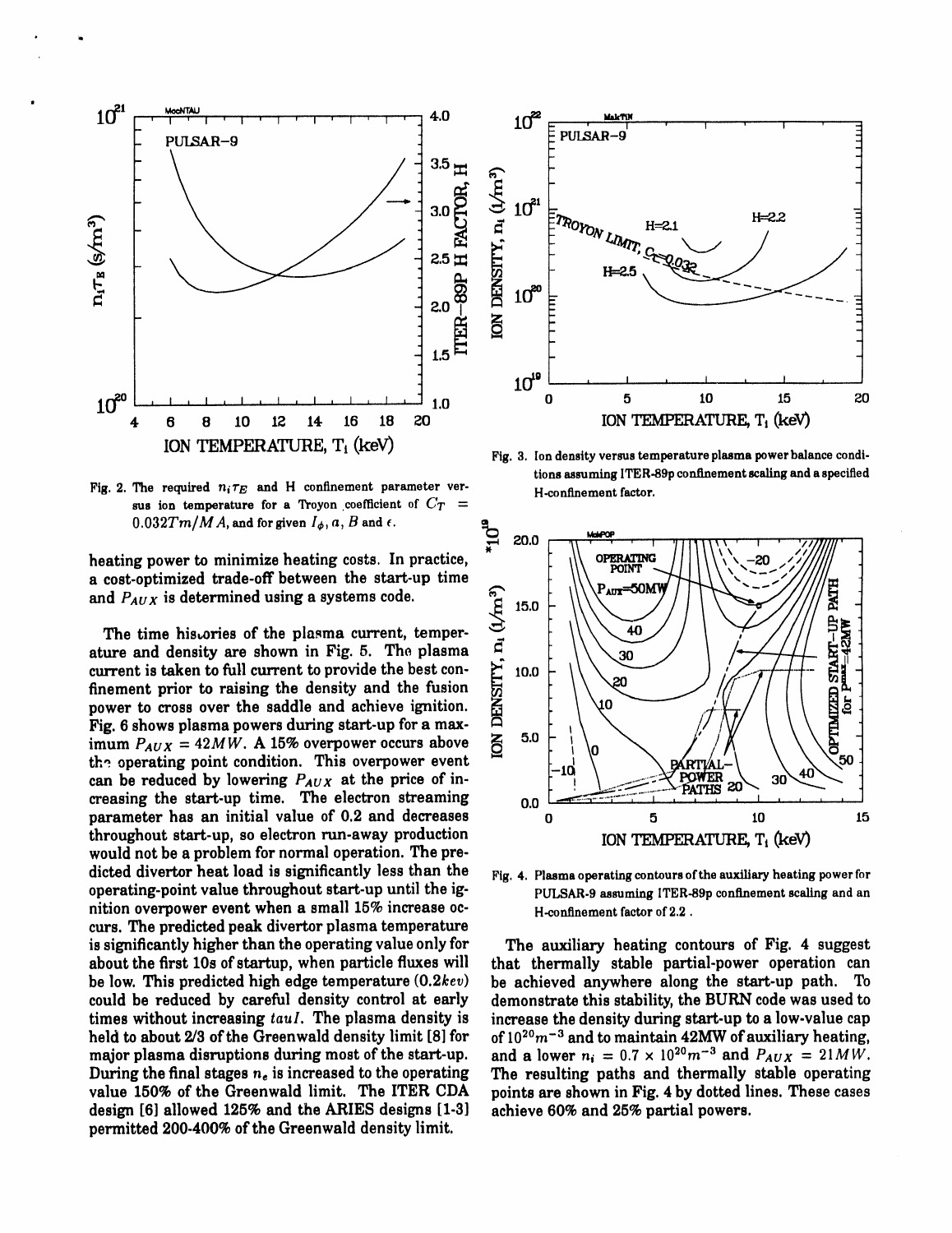

Fig. 2. The required  $n_i \tau_E$  and H confinement parameter versus ion temperature for a Troyon coefficient of  $C_T$  =  $0.032Tm/M$  A, and for given  $I_{\phi}$ , a, B and  $\epsilon$ .

heating power to minimize heating costs. In practice, a cost-optimized trade-off between the start-up time and  $P_{AUX}$  is determined using a systems code.

The time histories of the plasma current, temperature and density are shown in Fig. 5. The plasma current is taken to full current to provide the best confinement prior to raising the density and the fusion power to cross over the saddle and achieve ignition. Fig. 6 shows plasma powers during start-up for a maximum  $P_{AUX} = 42MW$ . A 15% overpower occurs above the operating point condition. This overpower event can be reduced by lowering  $P_{AUX}$  at the price of increasing the start-up time. The electron streaming parameter has an initial value of 0.2 and decreases throughout start-up, so electron run-away production would not be a problem for normal operation. The predicted divertor heat load is significantly less than the operating-point value throughout start-up until the ignition overpower event when a small 15% increase occurs. The predicted peak divertor plasma temperature is significantly higher than the operating value only for about the first 10s of startup, when particle fluxes will be low. This predicted high edge temperature  $(0.2 \text{kev})$ could be reduced by careful density control at early times without increasing taul. The plasma density is held to about 2/3 of the Greenwald density limit [8] for major plasma disruptions during most of the start-up. During the final stages  $n_e$  is increased to the operating value 150% of the Greenwald limit. The ITER CDA design [6] allowed 125% and the ARIES designs [1-3] permitted 200-400% of the Greenwald density limit.



Fig. 3. Ion density versus temperature plasma power balance conditions assuming ITER-89p confinement scaling and a specified H-confinement factor.



Fig. 4. Plasma operating contours of the auxiliary heating power for PULSAR-9 assuming ITER-89p confinement scaling and an H-confinement factor of 2.2.

The auxiliary heating contours of Fig. 4 suggest that thermally stable partial-power operation can be achieved anywhere along the start-up path. To demonstrate this stability, the BURN code was used to increase the density during start-up to a low-value cap of  $10^{20}m^{-3}$  and to maintain 42MW of auxiliary heating, and a lower  $n_i = 0.7 \times 10^{20} m^{-3}$  and  $P_{AUX} = 21 MW$ . The resulting paths and thermally stable operating points are shown in Fig. 4 by dotted lines. These cases achieve 60% and 25% partial powers.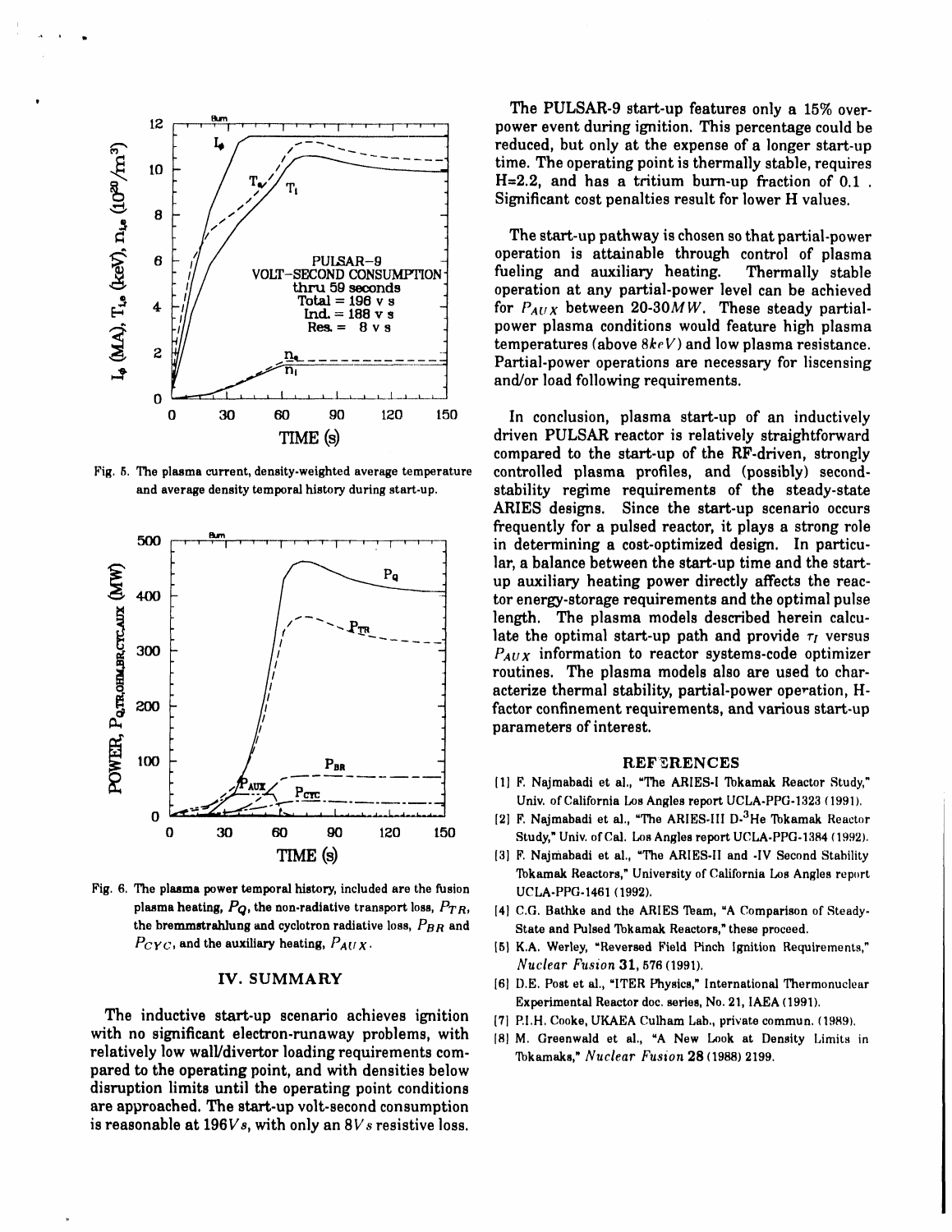

Fig. 5. The plasma current, density-weighted average temperature and average density temporal history during start-up.



Fig. 6. The plasma power temporal history, included are the fusion plasma heating,  $P_Q$ , the non-radiative transport loss,  $P_{TR}$ , the bremmstrahlung and cyclotron radiative loss,  $P_{BB}$  and  $P_{CYC}$ , and the auxiliary heating,  $P_{AUX}$ .

## IV. SUMMARY

The inductive start-up scenario achieves ignition with no significant electron-runaway problems, with relatively low wall/divertor loading requirements compared to the operating point, and with densities below disruption limits until the operating point conditions are approached. The start-up volt-second consumption is reasonable at  $196Vs$ , with only an  $8Vs$  resistive loss.

The PULSAR-9 start-up features only a 15% overpower event during ignition. This percentage could be reduced, but only at the expense of a longer start-up time. The operating point is thermally stable, requires  $H=2.2$ , and has a tritium burn-up fraction of 0.1. Significant cost penalties result for lower H values.

The start-up pathway is chosen so that partial-power operation is attainable through control of plasma fueling and auxiliary heating. Thermally stable operation at any partial-power level can be achieved for  $P_{AUX}$  between 20-30MW. These steady partialpower plasma conditions would feature high plasma temperatures (above  $8keV$ ) and low plasma resistance. Partial-power operations are necessary for liscensing and/or load following requirements.

In conclusion, plasma start-up of an inductively driven PULSAR reactor is relatively straightforward compared to the start-up of the RF-driven, strongly controlled plasma profiles, and (possibly) secondstability regime requirements of the steady-state ARIES designs. Since the start-up scenario occurs frequently for a pulsed reactor, it plays a strong role in determining a cost-optimized design. In particular, a balance between the start-up time and the startup auxiliary heating power directly affects the reactor energy-storage requirements and the optimal pulse length. The plasma models described herein calculate the optimal start-up path and provide  $\tau_I$  versus  $P_{AUX}$  information to reactor systems-code optimizer routines. The plasma models also are used to characterize thermal stability, partial-power operation, Hfactor confinement requirements, and various start-up parameters of interest.

#### **REFERENCES**

- [1] F. Najmabadi et al., "The ARIES-I Tokamak Reactor Study," Univ. of California Los Angles report UCLA-PPG-1323 (1991).
- [2] F. Najmabadi et al., "The ARIES-III D-<sup>3</sup>He Tokamak Reactor Study," Univ. of Cal. Los Angles report UCLA-PPG-1384 (1992).
- [3] F. Najmabadi et al., "The ARIES-II and -IV Second Stability Tokamak Reactors," University of California Los Angles report UCLA-PPG-1461 (1992).
- [4] C.G. Bathke and the ARIES Team, "A Comparison of Steady-State and Pulsed Tokamak Reactors," these proceed.
- [5] K.A. Werley, "Reversed Field Pinch Ignition Requirements," *Nuclear Fusion* 31, 576 (1991).
- [6] D.E. Post et al., "ITER Physics," International Thermonuclear Experimental Reactor doc. series, No. 21, IAEA (1991).
- [7] P.I.H. Cooke, UKAEA Culham Lab., private commun. (1989).
- [8] M. Greenwald et al., "A New Look at Density Limits in Tokamaks." Nuclear Fusion 28 (1988) 2199.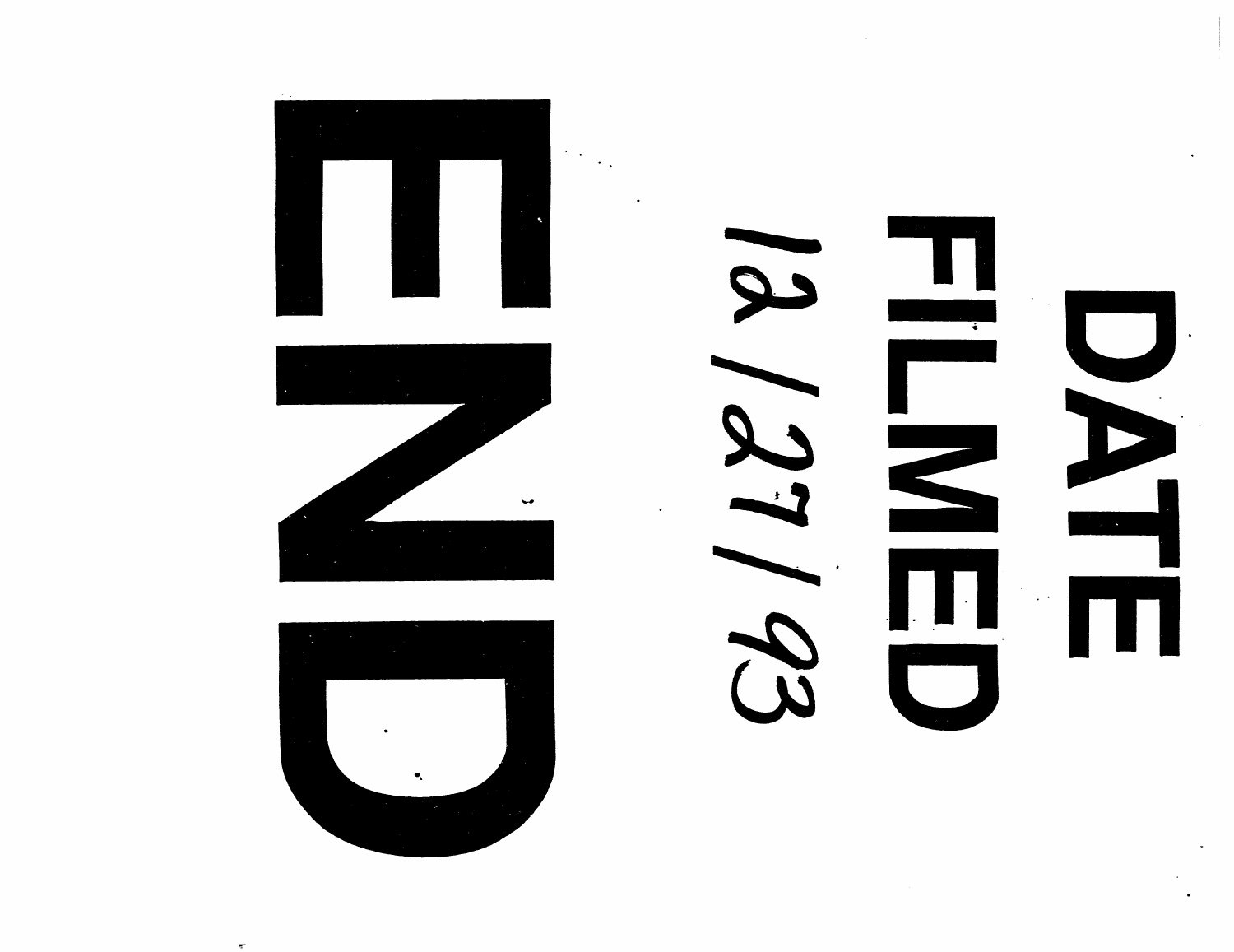



R LLI 3